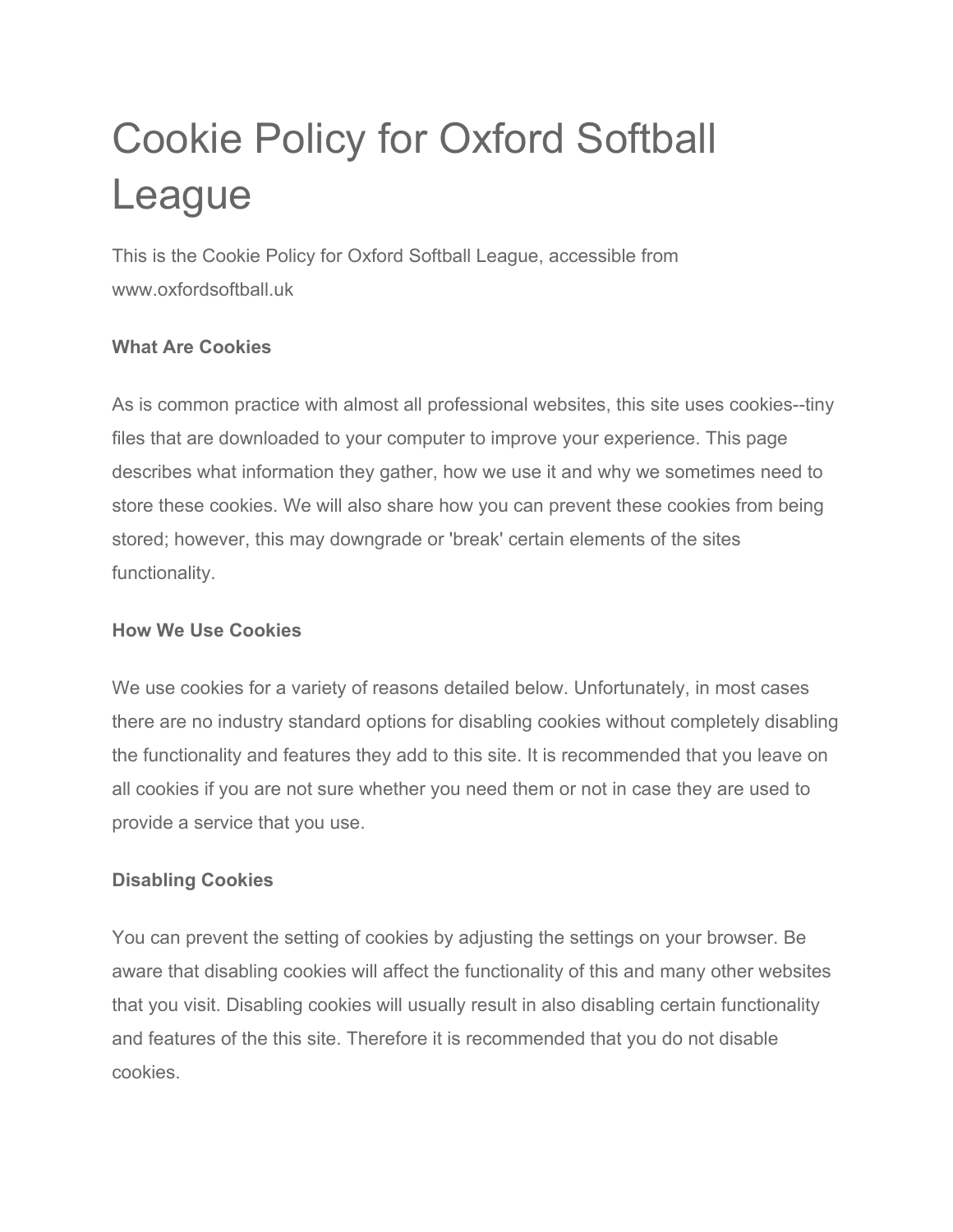# Cookie Policy for Oxford Softball League

This is the Cookie Policy for Oxford Softball League, accessible from www.oxfordsoftball.uk

## **What Are Cookies**

As is common practice with almost all professional websites, this site uses cookies--tiny files that are downloaded to your computer to improve your experience. This page describes what information they gather, how we use it and why we sometimes need to store these cookies. We will also share how you can prevent these cookies from being stored; however, this may downgrade or 'break' certain elements of the sites functionality.

#### **How We Use Cookies**

We use cookies for a variety of reasons detailed below. Unfortunately, in most cases there are no industry standard options for disabling cookies without completely disabling the functionality and features they add to this site. It is recommended that you leave on all cookies if you are not sure whether you need them or not in case they are used to provide a service that you use.

#### **Disabling Cookies**

You can prevent the setting of cookies by adjusting the settings on your browser. Be aware that disabling cookies will affect the functionality of this and many other websites that you visit. Disabling cookies will usually result in also disabling certain functionality and features of the this site. Therefore it is recommended that you do not disable cookies.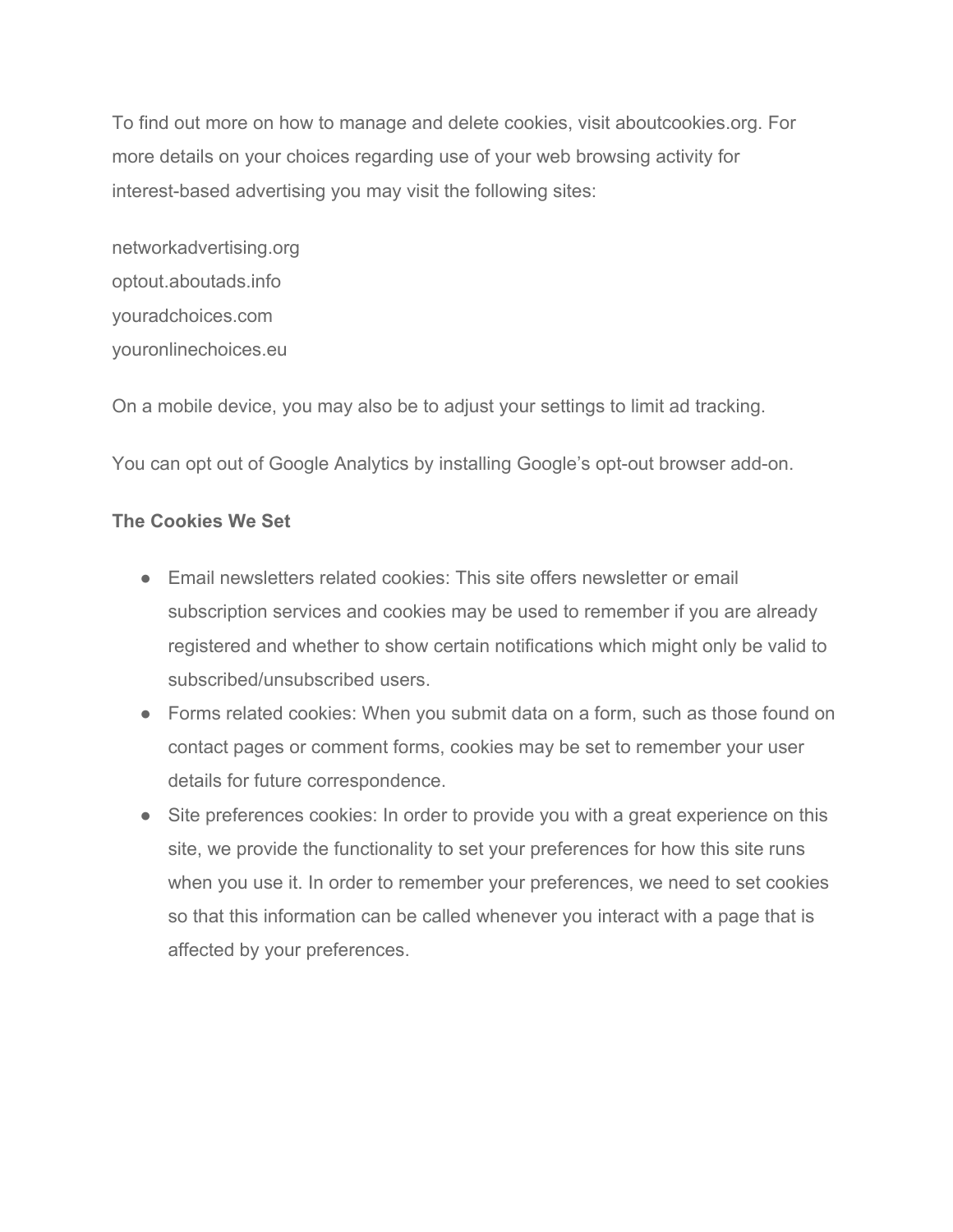To find out more on how to manage and delete cookies, visit aboutcookies.org. For more details on your choices regarding use of your web browsing activity for interest-based advertising you may visit the following sites:

networkadvertising.org optout.aboutads.info youradchoices.com youronlinechoices.eu

On a mobile device, you may also be to adjust your settings to limit ad tracking.

You can opt out of Google Analytics by installing Google's opt-out browser add-on.

#### **The Cookies We Set**

- Email newsletters related cookies: This site offers newsletter or email subscription services and cookies may be used to remember if you are already registered and whether to show certain notifications which might only be valid to subscribed/unsubscribed users.
- Forms related cookies: When you submit data on a form, such as those found on contact pages or comment forms, cookies may be set to remember your user details for future correspondence.
- Site preferences cookies: In order to provide you with a great experience on this site, we provide the functionality to set your preferences for how this site runs when you use it. In order to remember your preferences, we need to set cookies so that this information can be called whenever you interact with a page that is affected by your preferences.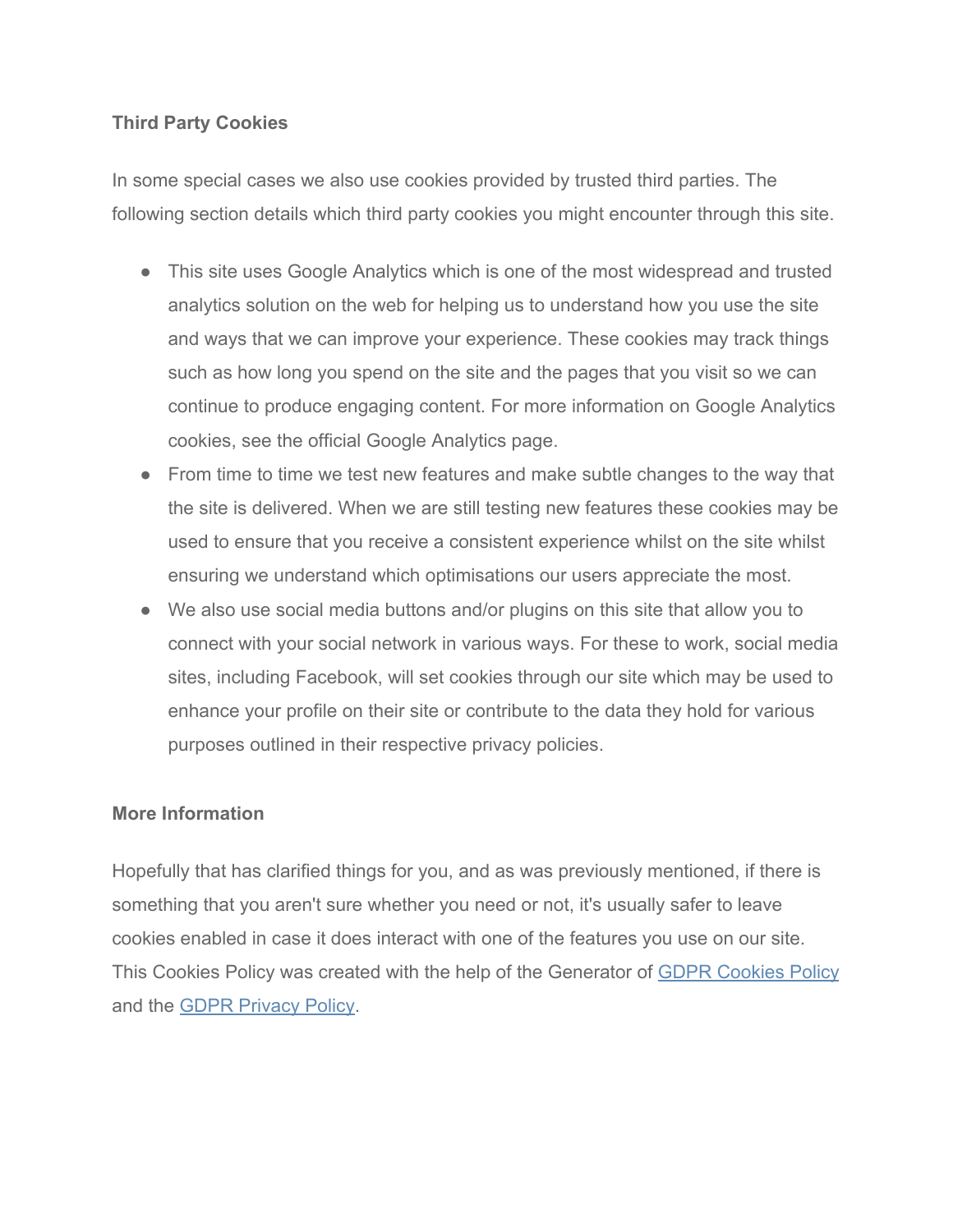### **Third Party Cookies**

In some special cases we also use cookies provided by trusted third parties. The following section details which third party cookies you might encounter through this site.

- This site uses Google Analytics which is one of the most widespread and trusted analytics solution on the web for helping us to understand how you use the site and ways that we can improve your experience. These cookies may track things such as how long you spend on the site and the pages that you visit so we can continue to produce engaging content. For more information on Google Analytics cookies, see the official Google Analytics page.
- From time to time we test new features and make subtle changes to the way that the site is delivered. When we are still testing new features these cookies may be used to ensure that you receive a consistent experience whilst on the site whilst ensuring we understand which optimisations our users appreciate the most.
- We also use social media buttons and/or plugins on this site that allow you to connect with your social network in various ways. For these to work, social media sites, including Facebook, will set cookies through our site which may be used to enhance your profile on their site or contribute to the data they hold for various purposes outlined in their respective privacy policies.

#### **More Information**

Hopefully that has clarified things for you, and as was previously mentioned, if there is something that you aren't sure whether you need or not, it's usually safer to leave cookies enabled in case it does interact with one of the features you use on our site. This Cookies Policy was created with the help of the Generator of [GDPR Cookies Policy](https://cookiepolicygenerator.com/) and the [GDPR Privacy Policy](https://privacypolicygenerator.info/).